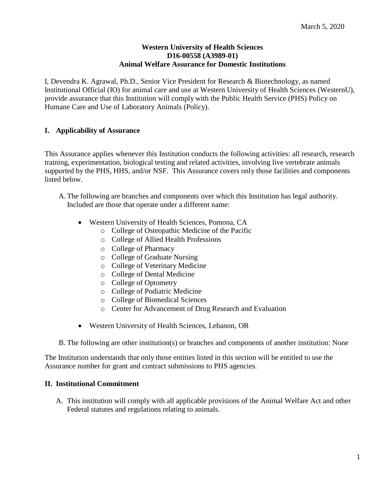#### **Western University of Health Sciences D16-00558 (A3989-01) Animal Welfare Assurance for Domestic Institutions**

I, Devendra K. Agrawal, Ph.D., Senior Vice President for Research & Biotechnology, as named Institutional Official (IO) for animal care and use at Western University of Health Sciences (WesternU), provide assurance that this Institution will comply with the Public Health Service (PHS) Policy on Humane Care and Use of Laboratory Animals (Policy).

# **I. Applicability of Assurance**

This Assurance applies whenever this Institution conducts the following activities: all research, research training, experimentation, biological testing and related activities, involving live vertebrate animals supported by the PHS, HHS, and/or NSF. This Assurance covers only those facilities and components listed below.

- A.The following are branches and components over which this Institution has legal authority. Included are those that operate under a different name:
	- Western University of Health Sciences, Pomona, CA
		- o College of Osteopathic Medicine of the Pacific
		- o College of Allied Health Professions
		- o College of Pharmacy
		- o College of Graduate Nursing
		- o College of Veterinary Medicine
		- o College of Dental Medicine
		- o College of Optometry
		- o College of Podiatric Medicine
		- o College of Biomedical Sciences
		- o Center for Advancement of Drug Research and Evaluation
	- Western University of Health Sciences, Lebanon, OR

B. The following are other institution(s) or branches and components of another institution: None

The Institution understands that only those entities listed in this section will be entitled to use the Assurance number for grant and contract submissions to PHS agencies.

## **II. Institutional Commitment**

A. This institution will comply with all applicable provisions of the Animal Welfare Act and other Federal statutes and regulations relating to animals.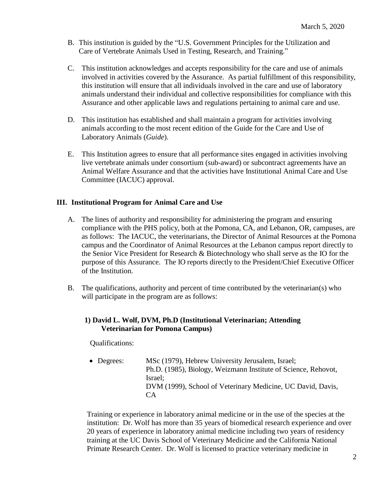- B. This institution is guided by the "U.S. Government Principles for the Utilization and Care of Vertebrate Animals Used in Testing, Research, and Training."
- C. This institution acknowledges and accepts responsibility for the care and use of animals involved in activities covered by the Assurance. As partial fulfillment of this responsibility, this institution will ensure that all individuals involved in the care and use of laboratory animals understand their individual and collective responsibilities for compliance with this Assurance and other applicable laws and regulations pertaining to animal care and use.
- D. This institution has established and shall maintain a program for activities involving animals according to the most recent edition of the Guide for the Care and Use of Laboratory Animals (*Guide*).
- E. This Institution agrees to ensure that all performance sites engaged in activities involving live vertebrate animals under consortium (sub-award) or subcontract agreements have an Animal Welfare Assurance and that the activities have Institutional Animal Care and Use Committee (IACUC) approval.

# **III. Institutional Program for Animal Care and Use**

- A. The lines of authority and responsibility for administering the program and ensuring compliance with the PHS policy, both at the Pomona, CA, and Lebanon, OR, campuses, are as follows: The IACUC, the veterinarians, the Director of Animal Resources at the Pomona campus and the Coordinator of Animal Resources at the Lebanon campus report directly to the Senior Vice President for Research & Biotechnology who shall serve as the IO for the purpose of this Assurance. The IO reports directly to the President/Chief Executive Officer of the Institution.
- B. The qualifications, authority and percent of time contributed by the veterinarian(s) who will participate in the program are as follows:

## **1) David L. Wolf, DVM, Ph.D (Institutional Veterinarian; Attending Veterinarian for Pomona Campus)**

Qualifications:

• Degrees: MSc (1979), Hebrew University Jerusalem, Israel; Ph.D. (1985), Biology, Weizmann Institute of Science, Rehovot, Israel; DVM (1999), School of Veterinary Medicine, UC David, Davis, CA

Training or experience in laboratory animal medicine or in the use of the species at the institution: Dr. Wolf has more than 35 years of biomedical research experience and over 20 years of experience in laboratory animal medicine including two years of residency training at the UC Davis School of Veterinary Medicine and the California National Primate Research Center. Dr. Wolf is licensed to practice veterinary medicine in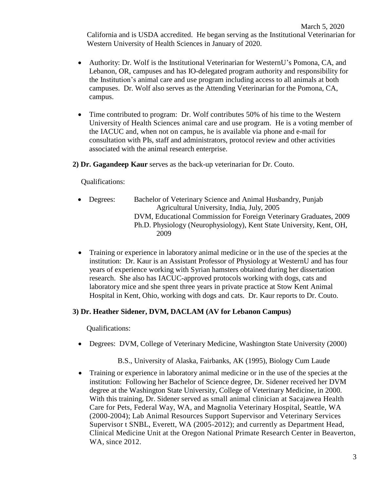March 5, 2020 California and is USDA accredited. He began serving as the Institutional Veterinarian for Western University of Health Sciences in January of 2020.

- Authority: Dr. Wolf is the Institutional Veterinarian for WesternU's Pomona, CA, and Lebanon, OR, campuses and has IO-delegated program authority and responsibility for the Institution's animal care and use program including access to all animals at both campuses. Dr. Wolf also serves as the Attending Veterinarian for the Pomona, CA, campus.
- Time contributed to program: Dr. Wolf contributes 50% of his time to the Western University of Health Sciences animal care and use program. He is a voting member of the IACUC and, when not on campus, he is available via phone and e-mail for consultation with PIs, staff and administrators, protocol review and other activities associated with the animal research enterprise.
- **2) Dr. Gagandeep Kaur** serves as the back-up veterinarian for Dr. Couto.

Qualifications:

- Degrees: Bachelor of Veterinary Science and Animal Husbandry, Punjab Agricultural University, India, July, 2005 DVM, Educational Commission for Foreign Veterinary Graduates, 2009 Ph.D. Physiology (Neurophysiology), Kent State University, Kent, OH, 2009
- Training or experience in laboratory animal medicine or in the use of the species at the institution: Dr. Kaur is an Assistant Professor of Physiology at WesternU and has four years of experience working with Syrian hamsters obtained during her dissertation research. She also has IACUC-approved protocols working with dogs, cats and laboratory mice and she spent three years in private practice at Stow Kent Animal Hospital in Kent, Ohio, working with dogs and cats. Dr. Kaur reports to Dr. Couto.

## **3) Dr. Heather Sidener, DVM, DACLAM (AV for Lebanon Campus)**

Qualifications:

• Degrees: DVM, College of Veterinary Medicine, Washington State University (2000)

B.S., University of Alaska, Fairbanks, AK (1995), Biology Cum Laude

• Training or experience in laboratory animal medicine or in the use of the species at the institution: Following her Bachelor of Science degree, Dr. Sidener received her DVM degree at the Washington State University, College of Veterinary Medicine, in 2000. With this training, Dr. Sidener served as small animal clinician at Sacajawea Health Care for Pets, Federal Way, WA, and Magnolia Veterinary Hospital, Seattle, WA (2000-2004); Lab Animal Resources Support Supervisor and Veterinary Services Supervisor t SNBL, Everett, WA (2005-2012); and currently as Department Head, Clinical Medicine Unit at the Oregon National Primate Research Center in Beaverton, WA, since 2012.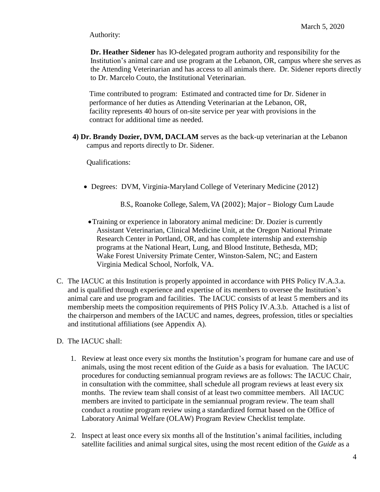Authority:

**Dr. Heather Sidener** has IO-delegated program authority and responsibility for the Institution's animal care and use program at the Lebanon, OR, campus where she serves as the Attending Veterinarian and has access to all animals there. Dr. Sidener reports directly to Dr. Marcelo Couto, the Institutional Veterinarian.

Time contributed to program: Estimated and contracted time for Dr. Sidener in performance of her duties as Attending Veterinarian at the Lebanon, OR, facility represents 40 hours of on-site service per year with provisions in the contract for additional time as needed.

**4) Dr. Brandy Dozier, DVM, DACLAM** serves as the back-up veterinarian at the Lebanon campus and reports directly to Dr. Sidener.

Qualifications:

- Degrees: DVM, Virginia-Maryland College of Veterinary Medicine (2012)
	- B.S., Roanoke College, Salem, VA (2002); Major Biology Cum Laude
- •Training or experience in laboratory animal medicine: Dr. Dozier is currently Assistant Veterinarian, Clinical Medicine Unit, at the Oregon National Primate Research Center in Portland, OR, and has complete internship and externship programs at the National Heart, Lung, and Blood Institute, Bethesda, MD; Wake Forest University Primate Center, Winston-Salem, NC; and Eastern Virginia Medical School, Norfolk, VA.
- C. The IACUC at this Institution is properly appointed in accordance with PHS Policy IV.A.3.a. and is qualified through experience and expertise of its members to oversee the Institution's animal care and use program and facilities. The IACUC consists of at least 5 members and its membership meets the composition requirements of PHS Policy IV.A.3.b. Attached is a list of the chairperson and members of the IACUC and names, degrees, profession, titles or specialties and institutional affiliations (see Appendix A).
- D. The IACUC shall:
	- 1. Review at least once every six months the Institution's program for humane care and use of animals, using the most recent edition of the *Guide* as a basis for evaluation. The IACUC procedures for conducting semiannual program reviews are as follows: The IACUC Chair, in consultation with the committee, shall schedule all program reviews at least every six months. The review team shall consist of at least two committee members. All IACUC members are invited to participate in the semiannual program review. The team shall conduct a routine program review using a standardized format based on the Office of Laboratory Animal Welfare (OLAW) Program Review Checklist template.
	- 2. Inspect at least once every six months all of the Institution's animal facilities, including satellite facilities and animal surgical sites, using the most recent edition of the *Guide* as a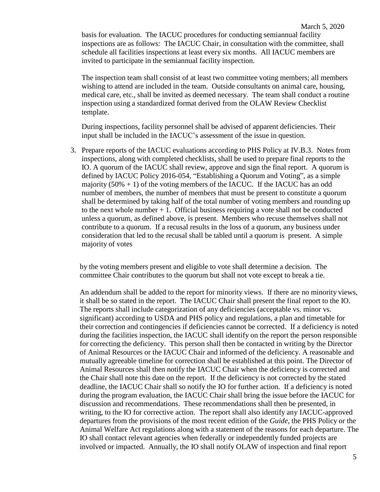basis for evaluation. The IACUC procedures for conducting semiannual facility inspections are as follows: The IACUC Chair, in consultation with the committee, shall schedule all facilities inspections at least every six months. All IACUC members are invited to participate in the semiannual facility inspection.

The inspection team shall consist of at least two committee voting members; all members wishing to attend are included in the team. Outside consultants on animal care, housing, medical care, etc., shall be invited as deemed necessary. The team shall conduct a routine inspection using a standardized format derived from the OLAW Review Checklist template.

During inspections, facility personnel shall be advised of apparent deficiencies. Their input shall be included in the IACUC's assessment of the issue in question.

3. Prepare reports of the IACUC evaluations according to PHS Policy at IV.B.3. Notes from inspections, along with completed checklists, shall be used to prepare final reports to the IO. A quorum of the IACUC shall review, approve and sign the final report. A quorum is defined by IACUC Policy 2016-054, "Establishing a Quorum and Voting", as a simple majority  $(50\% + 1)$  of the voting members of the IACUC. If the IACUC has an odd number of members, the number of members that must be present to constitute a quorum shall be determined by taking half of the total number of voting members and rounding up to the next whole number  $+1$ . Official business requiring a vote shall not be conducted unless a quorum, as defined above, is present. Members who recuse themselves shall not contribute to a quorum. If a recusal results in the loss of a quorum, any business under consideration that led to the recusal shall be tabled until a quorum is present. A simple majority of votes

by the voting members present and eligible to vote shall determine a decision. The committee Chair contributes to the quorum but shall not vote except to break a tie.

An addendum shall be added to the report for minority views. If there are no minority views, it shall be so stated in the report. The IACUC Chair shall present the final report to the IO. The reports shall include categorization of any deficiencies (acceptable vs. minor vs. significant) according to USDA and PHS policy and regulations, a plan and timetable for their correction and contingencies if deficiencies cannot be corrected. If a deficiency is noted during the facilities inspection, the IACUC shall identify on the report the person responsible for correcting the deficiency. This person shall then be contacted in writing by the Director of Animal Resources or the IACUC Chair and informed of the deficiency. A reasonable and mutually agreeable timeline for correction shall be established at this point. The Director of Animal Resources shall then notify the IACUC Chair when the deficiency is corrected and the Chair shall note this date on the report. If the deficiency is not corrected by the stated deadline, the IACUC Chair shall so notify the IO for further action. If a deficiency is noted during the program evaluation, the IACUC Chair shall bring the issue before the IACUC for discussion and recommendations. These recommendations shall then be presented, in writing, to the IO for corrective action. The report shall also identify any IACUC-approved departures from the provisions of the most recent edition of the *Guide*, the PHS Policy or the Animal Welfare Act regulations along with a statement of the reasons for each departure. The IO shall contact relevant agencies when federally or independently funded projects are involved or impacted. Annually, the IO shall notify OLAW of inspection and final report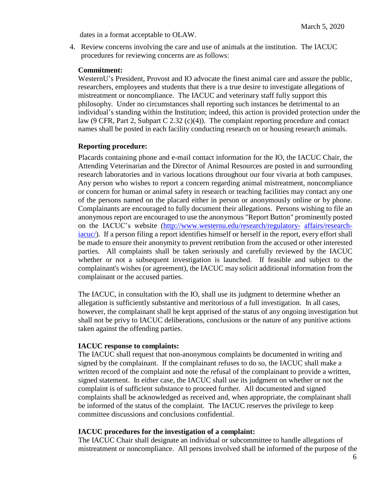dates in a format acceptable to OLAW.

4. Review concerns involving the care and use of animals at the institution. The IACUC procedures for reviewing concerns are as follows:

#### **Commitment:**

WesternU's President, Provost and IO advocate the finest animal care and assure the public, researchers, employees and students that there is a true desire to investigate allegations of mistreatment or noncompliance. The IACUC and veterinary staff fully support this philosophy. Under no circumstances shall reporting such instances be detrimental to an individual's standing within the Institution; indeed, this action is provided protection under the law (9 CFR, Part 2, Subpart C 2.32 (c)(4)). The complaint reporting procedure and contact names shall be posted in each facility conducting research on or housing research animals.

#### **Reporting procedure:**

Placards containing phone and e-mail contact information for the IO, the IACUC Chair, the Attending Veterinarian and the Director of Animal Resources are posted in and surrounding research laboratories and in various locations throughout our four vivaria at both campuses. Any person who wishes to report a concern regarding animal mistreatment, noncompliance or concern for human or animal safety in research or teaching facilities may contact any one of the persons named on the placard either in person or anonymously online or by phone. Complainants are encouraged to fully document their allegations. Persons wishing to file an anonymous report are encouraged to use the anonymous "Report Button" prominently posted on the IACUC's website [\(http://www.westernu.edu/research/regulatory-](http://www.westernu.edu/research/regulatory-affairs/research-iacuc/) [affairs/research](http://www.westernu.edu/research/regulatory-affairs/research-iacuc/)[iacuc/\)](http://www.westernu.edu/research/regulatory-affairs/research-iacuc/). If a person filing a report identifies himself or herself in the report, every effort shall be made to ensure their anonymity to prevent retribution from the accused or other interested parties. All complaints shall be taken seriously and carefully reviewed by the IACUC whether or not a subsequent investigation is launched. If feasible and subject to the complainant's wishes (or agreement), the IACUC may solicit additional information from the complainant or the accused parties.

The IACUC, in consultation with the IO, shall use its judgment to determine whether an allegation is sufficiently substantive and meritorious of a full investigation. In all cases, however, the complainant shall be kept apprised of the status of any ongoing investigation but shall not be privy to IACUC deliberations, conclusions or the nature of any punitive actions taken against the offending parties.

#### **IACUC response to complaints:**

The IACUC shall request that non-anonymous complaints be documented in writing and signed by the complainant. If the complainant refuses to do so, the IACUC shall make a written record of the complaint and note the refusal of the complainant to provide a written, signed statement. In either case, the IACUC shall use its judgment on whether or not the complaint is of sufficient substance to proceed further. All documented and signed complaints shall be acknowledged as received and, when appropriate, the complainant shall be informed of the status of the complaint. The IACUC reserves the privilege to keep committee discussions and conclusions confidential.

#### **IACUC procedures for the investigation of a complaint:**

The IACUC Chair shall designate an individual or subcommittee to handle allegations of mistreatment or noncompliance. All persons involved shall be informed of the purpose of the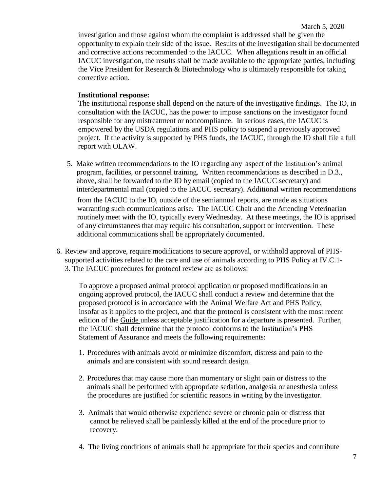investigation and those against whom the complaint is addressed shall be given the opportunity to explain their side of the issue. Results of the investigation shall be documented and corrective actions recommended to the IACUC. When allegations result in an official IACUC investigation, the results shall be made available to the appropriate parties, including the Vice President for Research & Biotechnology who is ultimately responsible for taking corrective action.

#### **Institutional response:**

The institutional response shall depend on the nature of the investigative findings. The IO, in consultation with the IACUC, has the power to impose sanctions on the investigator found responsible for any mistreatment or noncompliance. In serious cases, the IACUC is empowered by the USDA regulations and PHS policy to suspend a previously approved project. If the activity is supported by PHS funds, the IACUC, through the IO shall file a full report with OLAW.

- 5. Make written recommendations to the IO regarding any aspect of the Institution's animal program, facilities, or personnel training. Written recommendations as described in D.3., above, shall be forwarded to the IO by email (copied to the IACUC secretary) and interdepartmental mail (copied to the IACUC secretary). Additional written recommendations from the IACUC to the IO, outside of the semiannual reports, are made as situations warranting such communications arise. The IACUC Chair and the Attending Veterinarian routinely meet with the IO, typically every Wednesday. At these meetings, the IO is apprised of any circumstances that may require his consultation, support or intervention. These additional communications shall be appropriately documented.
- 6. Review and approve, require modifications to secure approval, or withhold approval of PHSsupported activities related to the care and use of animals according to PHS Policy at IV.C.1- 3. The IACUC procedures for protocol review are as follows:

To approve a proposed animal protocol application or proposed modifications in an ongoing approved protocol, the IACUC shall conduct a review and determine that the proposed protocol is in accordance with the Animal Welfare Act and PHS Policy, insofar as it applies to the project, and that the protocol is consistent with the most recent edition of the Guide unless acceptable justification for a departure is presented. Further, the IACUC shall determine that the protocol conforms to the Institution's PHS Statement of Assurance and meets the following requirements:

- 1. Procedures with animals avoid or minimize discomfort, distress and pain to the animals and are consistent with sound research design.
- 2. Procedures that may cause more than momentary or slight pain or distress to the animals shall be performed with appropriate sedation, analgesia or anesthesia unless the procedures are justified for scientific reasons in writing by the investigator.
- 3. Animals that would otherwise experience severe or chronic pain or distress that cannot be relieved shall be painlessly killed at the end of the procedure prior to recovery.
- 4. The living conditions of animals shall be appropriate for their species and contribute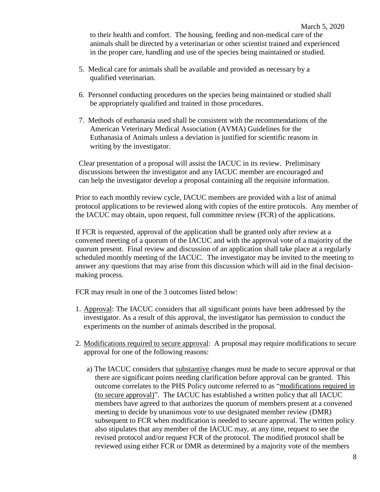to their health and comfort. The housing, feeding and non-medical care of the animals shall be directed by a veterinarian or other scientist trained and experienced in the proper care, handling and use of the species being maintained or studied.

- 5. Medical care for animals shall be available and provided as necessary by a qualified veterinarian.
- 6. Personnel conducting procedures on the species being maintained or studied shall be appropriately qualified and trained in those procedures.
- 7. Methods of euthanasia used shall be consistent with the recommendations of the American Veterinary Medical Association (AVMA) Guidelines for the Euthanasia of Animals unless a deviation is justified for scientific reasons in writing by the investigator.

Clear presentation of a proposal will assist the IACUC in its review. Preliminary discussions between the investigator and any IACUC member are encouraged and can help the investigator develop a proposal containing all the requisite information.

Prior to each monthly review cycle, IACUC members are provided with a list of animal protocol applications to be reviewed along with copies of the entire protocols. Any member of the IACUC may obtain, upon request, full committee review (FCR) of the applications.

If FCR is requested, approval of the application shall be granted only after review at a convened meeting of a quorum of the IACUC and with the approval vote of a majority of the quorum present. Final review and discussion of an application shall take place at a regularly scheduled monthly meeting of the IACUC. The investigator may be invited to the meeting to answer any questions that may arise from this discussion which will aid in the final decisionmaking process.

FCR may result in one of the 3 outcomes listed below:

- 1. Approval: The IACUC considers that all significant points have been addressed by the investigator. As a result of this approval, the investigator has permission to conduct the experiments on the number of animals described in the proposal.
- 2. Modifications required to secure approval: A proposal may require modifications to secure approval for one of the following reasons:
	- a) The IACUC considers that substantive changes must be made to secure approval or that there are significant points needing clarification before approval can be granted. This outcome correlates to the PHS Policy outcome referred to as "modifications required in (to secure approval)". The IACUC has established a written policy that all IACUC members have agreed to that authorizes the quorum of members present at a convened meeting to decide by unanimous vote to use designated member review (DMR) subsequent to FCR when modification is needed to secure approval. The written policy also stipulates that any member of the IACUC may, at any time, request to see the revised protocol and/or request FCR of the protocol. The modified protocol shall be reviewed using either FCR or DMR as determined by a majority vote of the members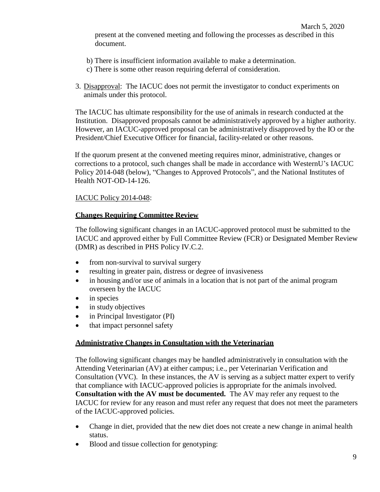- b) There is insufficient information available to make a determination.
- c) There is some other reason requiring deferral of consideration.
- 3. Disapproval: The IACUC does not permit the investigator to conduct experiments on animals under this protocol.

The IACUC has ultimate responsibility for the use of animals in research conducted at the Institution. Disapproved proposals cannot be administratively approved by a higher authority. However, an IACUC-approved proposal can be administratively disapproved by the IO or the President/Chief Executive Officer for financial, facility-related or other reasons.

If the quorum present at the convened meeting requires minor, administrative, changes or corrections to a protocol, such changes shall be made in accordance with WesternU's IACUC Policy 2014-048 (below), "Changes to Approved Protocols", and the National Institutes of Health NOT-OD-14-126.

## IACUC Policy 2014-048:

## **Changes Requiring Committee Review**

The following significant changes in an IACUC-approved protocol must be submitted to the IACUC and approved either by Full Committee Review (FCR) or Designated Member Review (DMR) as described in [PHS Policy](http://grants.nih.gov/grants/olaw/references/PHSPolicyLabAnimals.pdf) IV.C.2.

- from non-survival to survival surgery
- resulting in greater pain, distress or degree of invasiveness
- in housing and/or use of animals in a location that is not part of the animal program overseen by the IACUC
- in species
- in study objectives
- in Principal Investigator (PI)
- that impact personnel safety

## **Administrative Changes in Consultation with the Veterinarian**

The following significant changes may be handled administratively in consultation with the Attending Veterinarian (AV) at either campus; i.e., per Veterinarian Verification and Consultation (VVC). In these instances, the AV is serving as a subject matter expert to verify that compliance with IACUC-approved policies is appropriate for the animals involved. **Consultation with the AV must be documented.** The AV may refer any request to the IACUC for review for any reason and must refer any request that does not meet the parameters of the IACUC-approved policies.

- Change in diet, provided that the new diet does not create a new change in animal health status.
- Blood and tissue collection for genotyping: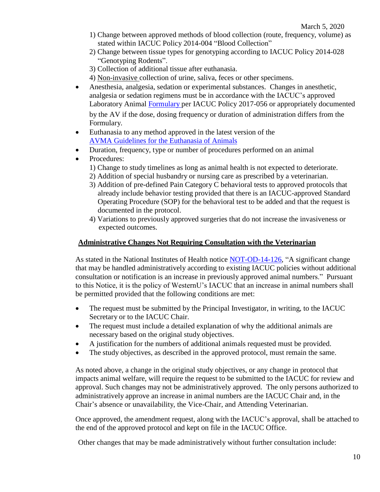- 1) Change between approved methods of blood collection (route, frequency, volume) as stated within IACUC Policy 2014-004 "Blood Collection"
- 2) Change between tissue types for genotyping according to IACUC Policy 2014-028 "Genotyping Rodents".
- 3) Collection of additional tissue after euthanasia.
- 4) Non-invasive collection of urine, saliva, feces or other specimens.
- Anesthesia, analgesia, sedation or experimental substances. Changes in anesthetic, analgesia or sedation regimens must be in accordance with the IACUC's approved Laboratory Animal [Formulary](http://www.westernu.edu/research/regulatory-affairs/research-iacuc/) per IACUC Policy 2017-056 or appropriately documented by the AV if the dose, dosing frequency or duration of administration differs from the Formulary.
- Euthanasia to any method approved in the latest version of the [AVMA Guidelines for the](https://www.avma.org/KB/Policies/Documents/euthanasia.pdf) Euthanasia of Animals
- Duration, frequency, type or number of procedures performed on an animal
- Procedures:
	- 1) Change to study timelines as long as animal health is not expected to deteriorate.
	- 2) Addition of special husbandry or nursing care as prescribed by a veterinarian.
	- 3) Addition of pre-defined Pain Category C behavioral tests to approved protocols that already include behavior testing provided that there is an IACUC-approved Standard Operating Procedure (SOP) for the behavioral test to be added and that the request is documented in the protocol.
	- 4) Variations to previously approved surgeries that do not increase the invasiveness or expected outcomes.

#### **Administrative Changes Not Requiring Consultation with the Veterinarian**

As stated in the National Institutes of Health notice [NOT-OD-14-126,](http://grants.nih.gov/grants/guide/notice-files/NOT-OD-14-126.html) "A significant change that may be handled administratively according to existing IACUC policies without additional consultation or notification is an increase in previously approved animal numbers." Pursuant to this Notice, it is the policy of WesternU's IACUC that an increase in animal numbers shall be permitted provided that the following conditions are met:

- The request must be submitted by the Principal Investigator, in writing, to the IACUC Secretary or to the IACUC Chair.
- The request must include a detailed explanation of why the additional animals are necessary based on the original study objectives.
- A justification for the numbers of additional animals requested must be provided.
- The study objectives, as described in the approved protocol, must remain the same.

As noted above, a change in the original study objectives, or any change in protocol that impacts animal welfare, will require the request to be submitted to the IACUC for review and approval. Such changes may not be administratively approved. The only persons authorized to administratively approve an increase in animal numbers are the IACUC Chair and, in the Chair's absence or unavailability, the Vice-Chair, and Attending Veterinarian.

Once approved, the amendment request, along with the IACUC's approval, shall be attached to the end of the approved protocol and kept on file in the IACUC Office.

Other changes that may be made administratively without further consultation include: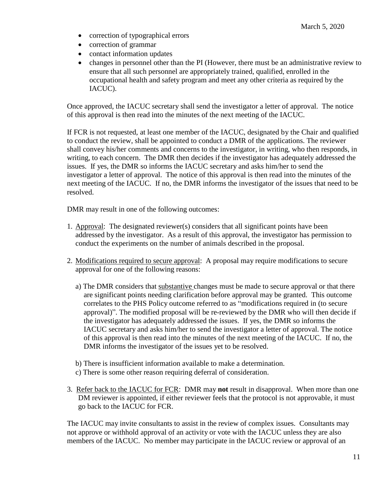- correction of typographical errors
- correction of grammar
- contact information updates
- changes in personnel other than the PI (However, there must be an administrative review to ensure that all such personnel are appropriately trained, qualified, enrolled in the occupational health and safety program and meet any other criteria as required by the IACUC).

Once approved, the IACUC secretary shall send the investigator a letter of approval. The notice of this approval is then read into the minutes of the next meeting of the IACUC.

If FCR is not requested, at least one member of the IACUC, designated by the Chair and qualified to conduct the review, shall be appointed to conduct a DMR of the applications. The reviewer shall convey his/her comments and concerns to the investigator, in writing, who then responds, in writing, to each concern. The DMR then decides if the investigator has adequately addressed the issues. If yes, the DMR so informs the IACUC secretary and asks him/her to send the investigator a letter of approval. The notice of this approval is then read into the minutes of the next meeting of the IACUC. If no, the DMR informs the investigator of the issues that need to be resolved.

DMR may result in one of the following outcomes:

- 1. Approval: The designated reviewer(s) considers that all significant points have been addressed by the investigator. As a result of this approval, the investigator has permission to conduct the experiments on the number of animals described in the proposal.
- 2. Modifications required to secure approval: A proposal may require modifications to secure approval for one of the following reasons:
	- a) The DMR considers that substantive changes must be made to secure approval or that there are significant points needing clarification before approval may be granted. This outcome correlates to the PHS Policy outcome referred to as "modifications required in (to secure approval)". The modified proposal will be re-reviewed by the DMR who will then decide if the investigator has adequately addressed the issues. If yes, the DMR so informs the IACUC secretary and asks him/her to send the investigator a letter of approval. The notice of this approval is then read into the minutes of the next meeting of the IACUC. If no, the DMR informs the investigator of the issues yet to be resolved.
	- b) There is insufficient information available to make a determination.
	- c) There is some other reason requiring deferral of consideration.
- 3. Refer back to the IACUC for FCR: DMR may **not** result in disapproval. When more than one DM reviewer is appointed, if either reviewer feels that the protocol is not approvable, it must go back to the IACUC for FCR.

The IACUC may invite consultants to assist in the review of complex issues. Consultants may not approve or withhold approval of an activity or vote with the IACUC unless they are also members of the IACUC. No member may participate in the IACUC review or approval of an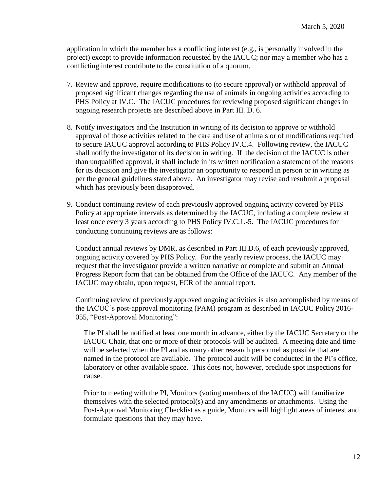application in which the member has a conflicting interest (e.g., is personally involved in the project) except to provide information requested by the IACUC; nor may a member who has a conflicting interest contribute to the constitution of a quorum.

- 7. Review and approve, require modifications to (to secure approval) or withhold approval of proposed significant changes regarding the use of animals in ongoing activities according to PHS Policy at IV.C. The IACUC procedures for reviewing proposed significant changes in ongoing research projects are described above in Part III. D. 6.
- 8. Notify investigators and the Institution in writing of its decision to approve or withhold approval of those activities related to the care and use of animals or of modifications required to secure IACUC approval according to PHS Policy IV.C.4. Following review, the IACUC shall notify the investigator of its decision in writing. If the decision of the IACUC is other than unqualified approval, it shall include in its written notification a statement of the reasons for its decision and give the investigator an opportunity to respond in person or in writing as per the general guidelines stated above. An investigator may revise and resubmit a proposal which has previously been disapproved.
- 9. Conduct continuing review of each previously approved ongoing activity covered by PHS Policy at appropriate intervals as determined by the IACUC, including a complete review at least once every 3 years according to PHS Policy IV.C.1.‐5. The IACUC procedures for conducting continuing reviews are as follows:

Conduct annual reviews by DMR, as described in Part III.D.6, of each previously approved, ongoing activity covered by PHS Policy. For the yearly review process, the IACUC may request that the investigator provide a written narrative or complete and submit an Annual Progress Report form that can be obtained from the Office of the IACUC. Any member of the IACUC may obtain, upon request, FCR of the annual report.

Continuing review of previously approved ongoing activities is also accomplished by means of the IACUC's post-approval monitoring (PAM) program as described in IACUC Policy 2016- 055, "Post-Approval Monitoring":

The PI shall be notified at least one month in advance, either by the IACUC Secretary or the IACUC Chair, that one or more of their protocols will be audited. A meeting date and time will be selected when the PI and as many other research personnel as possible that are named in the protocol are available. The protocol audit will be conducted in the PI's office, laboratory or other available space. This does not, however, preclude spot inspections for cause.

Prior to meeting with the PI, Monitors (voting members of the IACUC) will familiarize themselves with the selected protocol(s) and any amendments or attachments. Using the Post-Approval Monitoring Checklist as a guide, Monitors will highlight areas of interest and formulate questions that they may have.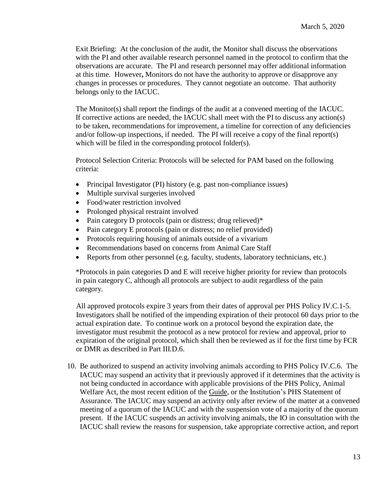Exit Briefing: At the conclusion of the audit, the Monitor shall discuss the observations with the PI and other available research personnel named in the protocol to confirm that the observations are accurate. The PI and research personnel may offer additional information at this time. However**,** Monitors do not have the authority to approve or disapprove any changes in processes or procedures. They cannot negotiate an outcome. That authority belongs only to the IACUC.

The Monitor(s) shall report the findings of the audit at a convened meeting of the IACUC. If corrective actions are needed, the IACUC shall meet with the PI to discuss any action(s) to be taken, recommendations for improvement, a timeline for correction of any deficiencies and/or follow-up inspections, if needed. The PI will receive a copy of the final report(s) which will be filed in the corresponding protocol folder(s).

Protocol Selection Criteria: Protocols will be selected for PAM based on the following criteria:

- Principal Investigator (PI) history (e.g. past non-compliance issues)
- Multiple survival surgeries involved
- Food/water restriction involved
- Prolonged physical restraint involved
- Pain category D protocols (pain or distress; drug relieved)\*
- Pain category E protocols (pain or distress; no relief provided)
- Protocols requiring housing of animals outside of a vivarium
- Recommendations based on concerns from Animal Care Staff
- Reports from other personnel (e.g. faculty, students, laboratory technicians, etc.)

\*Protocols in pain categories D and E will receive higher priority for review than protocols in pain category C, although all protocols are subject to audit regardless of the pain category.

All approved protocols expire 3 years from their dates of approval per PHS Policy IV.C.1-5. Investigators shall be notified of the impending expiration of their protocol 60 days prior to the actual expiration date. To continue work on a protocol beyond the expiration date, the investigator must resubmit the protocol as a new protocol for review and approval, prior to expiration of the original protocol, which shall then be reviewed as if for the first time by FCR or DMR as described in Part III.D.6.

10. Be authorized to suspend an activity involving animals according to PHS Policy IV.C.6. The IACUC may suspend an activity that it previously approved if it determines that the activity is not being conducted in accordance with applicable provisions of the PHS Policy, Animal Welfare Act, the most recent edition of the Guide, or the Institution's PHS Statement of Assurance. The IACUC may suspend an activity only after review of the matter at a convened meeting of a quorum of the IACUC and with the suspension vote of a majority of the quorum present. If the IACUC suspends an activity involving animals, the IO in consultation with the IACUC shall review the reasons for suspension, take appropriate corrective action, and report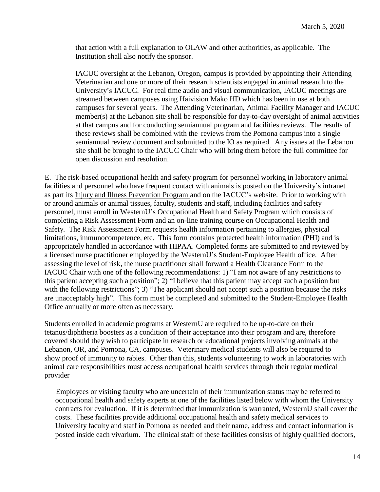that action with a full explanation to OLAW and other authorities, as applicable. The Institution shall also notify the sponsor.

IACUC oversight at the Lebanon, Oregon, campus is provided by appointing their Attending Veterinarian and one or more of their research scientists engaged in animal research to the University's IACUC. For real time audio and visual communication, IACUC meetings are streamed between campuses using Haivision Mako HD which has been in use at both campuses for several years. The Attending Veterinarian, Animal Facility Manager and IACUC member(s) at the Lebanon site shall be responsible for day-to-day oversight of animal activities at that campus and for conducting semiannual program and facilities reviews. The results of these reviews shall be combined with the reviews from the Pomona campus into a single semiannual review document and submitted to the IO as required. Any issues at the Lebanon site shall be brought to the IACUC Chair who will bring them before the full committee for open discussion and resolution.

E. The risk-based occupational health and safety program for personnel working in laboratory animal facilities and personnel who have frequent contact with animals is posted on the University's intranet as part its Injury and Illness Prevention Program and on the IACUC's website. Prior to working with or around animals or animal tissues, faculty, students and staff, including facilities and safety personnel, must enroll in WesternU's Occupational Health and Safety Program which consists of completing a Risk Assessment Form and an on-line training course on Occupational Health and Safety. The Risk Assessment Form requests health information pertaining to allergies, physical limitations, immunocompetence, etc. This form contains protected health information (PHI) and is appropriately handled in accordance with HIPAA. Completed forms are submitted to and reviewed by a licensed nurse practitioner employed by the WesternU's Student-Employee Health office. After assessing the level of risk, the nurse practitioner shall forward a Health Clearance Form to the IACUC Chair with one of the following recommendations: 1) "I am not aware of any restrictions to this patient accepting such a position"; 2) "I believe that this patient may accept such a position but with the following restrictions"; 3) "The applicant should not accept such a position because the risks are unacceptably high". This form must be completed and submitted to the Student-Employee Health Office annually or more often as necessary.

Students enrolled in academic programs at WesternU are required to be up-to-date on their tetanus/diphtheria boosters as a condition of their acceptance into their program and are, therefore covered should they wish to participate in research or educational projects involving animals at the Lebanon, OR, and Pomona, CA, campuses. Veterinary medical students will also be required to show proof of immunity to rabies. Other than this, students volunteering to work in laboratories with animal care responsibilities must access occupational health services through their regular medical provider

Employees or visiting faculty who are uncertain of their immunization status may be referred to occupational health and safety experts at one of the facilities listed below with whom the University contracts for evaluation. If it is determined that immunization is warranted, WesternU shall cover the costs. These facilities provide additional occupational health and safety medical services to University faculty and staff in Pomona as needed and their name, address and contact information is posted inside each vivarium. The clinical staff of these facilities consists of highly qualified doctors,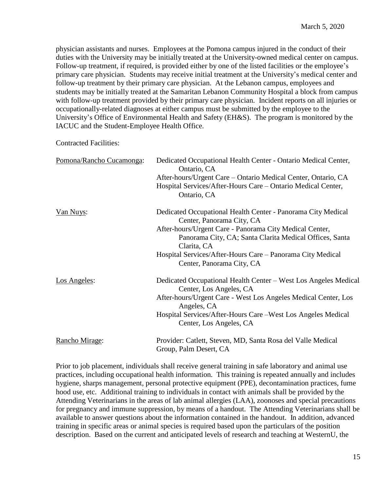physician assistants and nurses. Employees at the Pomona campus injured in the conduct of their duties with the University may be initially treated at the University-owned medical center on campus. Follow-up treatment, if required, is provided either by one of the listed facilities or the employee's primary care physician. Students may receive initial treatment at the University's medical center and follow-up treatment by their primary care physician. At the Lebanon campus, employees and students may be initially treated at the Samaritan Lebanon Community Hospital a block from campus with follow-up treatment provided by their primary care physician. Incident reports on all injuries or occupationally-related diagnoses at either campus must be submitted by the employee to the University's Office of Environmental Health and Safety (EH&S). The program is monitored by the IACUC and the Student-Employee Health Office.

Contracted Facilities:

| Pomona/Rancho Cucamonga: | Dedicated Occupational Health Center - Ontario Medical Center,<br>Ontario, CA              |  |  |  |  |
|--------------------------|--------------------------------------------------------------------------------------------|--|--|--|--|
|                          | After-hours/Urgent Care - Ontario Medical Center, Ontario, CA                              |  |  |  |  |
|                          | Hospital Services/After-Hours Care – Ontario Medical Center,<br>Ontario, CA                |  |  |  |  |
| <u>Van Nuys:</u>         | Dedicated Occupational Health Center - Panorama City Medical<br>Center, Panorama City, CA  |  |  |  |  |
|                          | After-hours/Urgent Care - Panorama City Medical Center,                                    |  |  |  |  |
|                          | Panorama City, CA; Santa Clarita Medical Offices, Santa<br>Clarita, CA                     |  |  |  |  |
|                          | Hospital Services/After-Hours Care - Panorama City Medical<br>Center, Panorama City, CA    |  |  |  |  |
| Los Angeles:             | Dedicated Occupational Health Center – West Los Angeles Medical<br>Center, Los Angeles, CA |  |  |  |  |
|                          | After-hours/Urgent Care - West Los Angeles Medical Center, Los<br>Angeles, CA              |  |  |  |  |
|                          | Hospital Services/After-Hours Care - West Los Angeles Medical<br>Center, Los Angeles, CA   |  |  |  |  |
| Rancho Mirage:           | Provider: Catlett, Steven, MD, Santa Rosa del Valle Medical<br>Group, Palm Desert, CA      |  |  |  |  |

Prior to job placement, individuals shall receive general training in safe laboratory and animal use practices, including occupational health information. This training is repeated annually and includes hygiene, sharps management, personal protective equipment (PPE), decontamination practices, fume hood use, etc. Additional training to individuals in contact with animals shall be provided by the Attending Veterinarians in the areas of lab animal allergies (LAA), zoonoses and special precautions for pregnancy and immune suppression, by means of a handout. The Attending Veterinarians shall be available to answer questions about the information contained in the handout. In addition, advanced training in specific areas or animal species is required based upon the particulars of the position description. Based on the current and anticipated levels of research and teaching at WesternU, the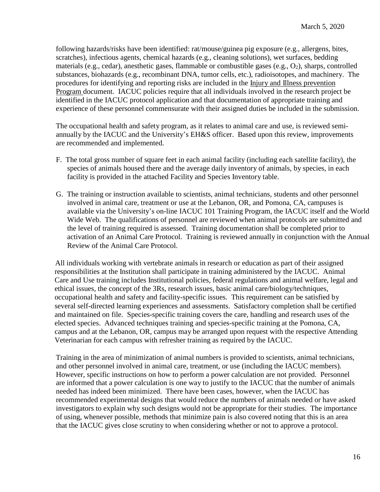following hazards/risks have been identified: rat/mouse/guinea pig exposure (e.g., allergens, bites, scratches), infectious agents, chemical hazards (e.g., cleaning solutions), wet surfaces, bedding materials (e.g., cedar), anesthetic gases, flammable or combustible gases (e.g.,  $O_2$ ), sharps, controlled substances, biohazards (e.g., recombinant DNA, tumor cells, etc.), radioisotopes, and machinery. The procedures for identifying and reporting risks are included in the Injury and Illness prevention Program document. IACUC policies require that all individuals involved in the research project be identified in the IACUC protocol application and that documentation of appropriate training and experience of these personnel commensurate with their assigned duties be included in the submission.

The occupational health and safety program, as it relates to animal care and use, is reviewed semiannually by the IACUC and the University's EH&S officer. Based upon this review, improvements are recommended and implemented.

- F. The total gross number of square feet in each animal facility (including each satellite facility), the species of animals housed there and the average daily inventory of animals, by species, in each facility is provided in the attached Facility and Species Inventory table.
- G. The training or instruction available to scientists, animal technicians, students and other personnel involved in animal care, treatment or use at the Lebanon, OR, and Pomona, CA, campuses is available via the University's on-line IACUC 101 Training Program, the IACUC itself and the World Wide Web. The qualifications of personnel are reviewed when animal protocols are submitted and the level of training required is assessed. Training documentation shall be completed prior to activation of an Animal Care Protocol. Training is reviewed annually in conjunction with the Annual Review of the Animal Care Protocol.

All individuals working with vertebrate animals in research or education as part of their assigned responsibilities at the Institution shall participate in training administered by the IACUC. Animal Care and Use training includes Institutional policies, federal regulations and animal welfare, legal and ethical issues, the concept of the 3Rs, research issues, basic animal care/biology/techniques, occupational health and safety and facility-specific issues. This requirement can be satisfied by several self-directed learning experiences and assessments. Satisfactory completion shall be certified and maintained on file. Species-specific training covers the care, handling and research uses of the elected species. Advanced techniques training and species-specific training at the Pomona, CA, campus and at the Lebanon, OR, campus may be arranged upon request with the respective Attending Veterinarian for each campus with refresher training as required by the IACUC.

Training in the area of minimization of animal numbers is provided to scientists, animal technicians, and other personnel involved in animal care, treatment, or use (including the IACUC members). However, specific instructions on how to perform a power calculation are not provided. Personnel are informed that a power calculation is one way to justify to the IACUC that the number of animals needed has indeed been minimized. There have been cases, however, when the IACUC has recommended experimental designs that would reduce the numbers of animals needed or have asked investigators to explain why such designs would not be appropriate for their studies. The importance of using, whenever possible, methods that minimize pain is also covered noting that this is an area that the IACUC gives close scrutiny to when considering whether or not to approve a protocol.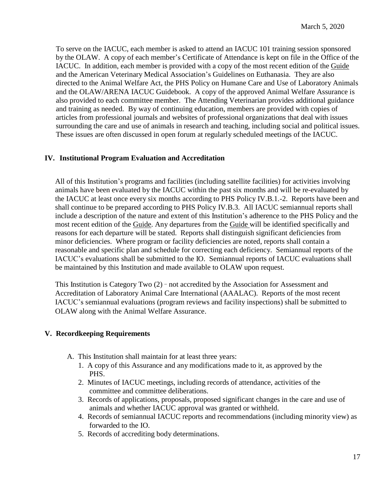To serve on the IACUC, each member is asked to attend an IACUC 101 training session sponsored by the OLAW. A copy of each member's Certificate of Attendance is kept on file in the Office of the IACUC. In addition, each member is provided with a copy of the most recent edition of the Guide and the American Veterinary Medical Association's Guidelines on Euthanasia. They are also directed to the Animal Welfare Act, the PHS Policy on Humane Care and Use of Laboratory Animals and the OLAW/ARENA IACUC Guidebook. A copy of the approved Animal Welfare Assurance is also provided to each committee member. The Attending Veterinarian provides additional guidance and training as needed. By way of continuing education, members are provided with copies of articles from professional journals and websites of professional organizations that deal with issues surrounding the care and use of animals in research and teaching, including social and political issues. These issues are often discussed in open forum at regularly scheduled meetings of the IACUC.

## **IV. Institutional Program Evaluation and Accreditation**

All of this Institution's programs and facilities (including satellite facilities) for activities involving animals have been evaluated by the IACUC within the past six months and will be re-evaluated by the IACUC at least once every six months according to PHS Policy IV.B.1.-2. Reports have been and shall continue to be prepared according to PHS Policy IV.B.3. All IACUC semiannual reports shall include a description of the nature and extent of this Institution's adherence to the PHS Policy and the most recent edition of the Guide. Any departures from the Guide will be identified specifically and reasons for each departure will be stated. Reports shall distinguish significant deficiencies from minor deficiencies. Where program or facility deficiencies are noted, reports shall contain a reasonable and specific plan and schedule for correcting each deficiency. Semiannual reports of the IACUC's evaluations shall be submitted to the IO. Semiannual reports of IACUC evaluations shall be maintained by this Institution and made available to OLAW upon request.

This Institution is Category Two (2) - not accredited by the Association for Assessment and Accreditation of Laboratory Animal Care International (AAALAC). Reports of the most recent IACUC's semiannual evaluations (program reviews and facility inspections) shall be submitted to OLAW along with the Animal Welfare Assurance.

## **V. Recordkeeping Requirements**

- A. This Institution shall maintain for at least three years:
	- 1. A copy of this Assurance and any modifications made to it, as approved by the PHS.
	- 2. Minutes of IACUC meetings, including records of attendance, activities of the committee and committee deliberations.
	- 3. Records of applications, proposals, proposed significant changes in the care and use of animals and whether IACUC approval was granted or withheld.
	- 4. Records of semiannual IACUC reports and recommendations (including minority view) as forwarded to the IO.
	- 5. Records of accrediting body determinations.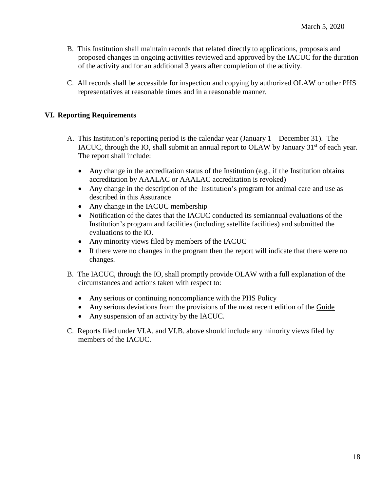- B. This Institution shall maintain records that related directly to applications, proposals and proposed changes in ongoing activities reviewed and approved by the IACUC for the duration of the activity and for an additional 3 years after completion of the activity.
- C. All records shall be accessible for inspection and copying by authorized OLAW or other PHS representatives at reasonable times and in a reasonable manner.

#### **VI. Reporting Requirements**

- A. This Institution's reporting period is the calendar year (January 1 December 31). The IACUC, through the IO, shall submit an annual report to OLAW by January  $31<sup>st</sup>$  of each year. The report shall include:
	- Any change in the accreditation status of the Institution (e.g., if the Institution obtains accreditation by AAALAC or AAALAC accreditation is revoked)
	- Any change in the description of the Institution's program for animal care and use as described in this Assurance
	- Any change in the IACUC membership
	- Notification of the dates that the IACUC conducted its semiannual evaluations of the Institution's program and facilities (including satellite facilities) and submitted the evaluations to the IO.
	- Any minority views filed by members of the IACUC
	- If there were no changes in the program then the report will indicate that there were no changes.
- B. The IACUC, through the IO, shall promptly provide OLAW with a full explanation of the circumstances and actions taken with respect to:
	- Any serious or continuing noncompliance with the PHS Policy
	- Any serious deviations from the provisions of the most recent edition of the Guide
	- Any suspension of an activity by the IACUC.
- C. Reports filed under VI.A. and VI.B. above should include any minority views filed by members of the IACUC.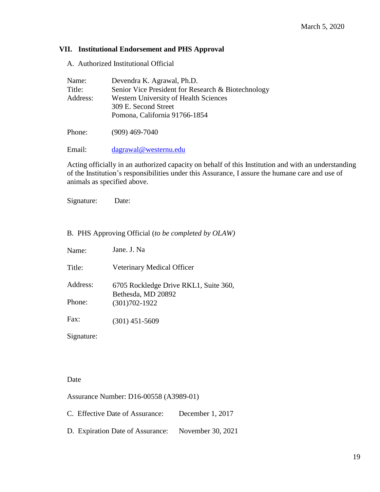#### **VII. Institutional Endorsement and PHS Approval**

A. Authorized Institutional Official

| Name:    | Devendra K. Agrawal, Ph.D.                         |
|----------|----------------------------------------------------|
| Title:   | Senior Vice President for Research & Biotechnology |
| Address: | <b>Western University of Health Sciences</b>       |
|          | 309 E. Second Street                               |
|          | Pomona, California 91766-1854                      |
|          |                                                    |

Phone: (909) 469-7040

Email: [dagrawal@westernu.edu](mailto:dagrawal@westernu.edu)

Acting officially in an authorized capacity on behalf of this Institution and with an understanding of the Institution's responsibilities under this Assurance, I assure the humane care and use of animals as specified above.

Signature: Date:

#### B. PHS Approving Official (*to be completed by OLAW)*

| Name:    | Jane. J. Na                                                 |
|----------|-------------------------------------------------------------|
| Title:   | Veterinary Medical Officer                                  |
| Address: | 6705 Rockledge Drive RKL1, Suite 360,<br>Bethesda, MD 20892 |
| Phone:   | $(301)702 - 1922$                                           |
| Fax:     | $(301)$ 451-5609                                            |

Signature:

#### Date

Assurance Number: D16-00558 (A3989-01)

C. Effective Date of Assurance: December 1, 2017

D. Expiration Date of Assurance: November 30, 2021